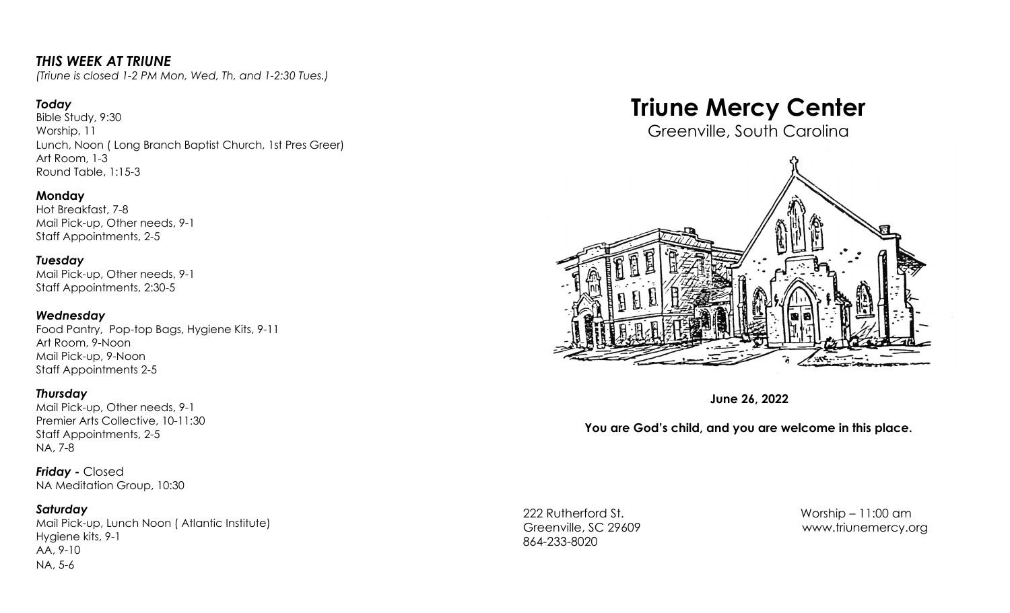## *THIS WEEK AT TRIUNE*

*(Triune is closed 1-2 PM Mon, Wed, Th, and 1-2:30 Tues.)*

#### *Today*

Bible Study, 9:30 Worship, 11 Lunch, Noon ( Long Branch Baptist Church, 1st Pres Greer) Art Room, 1-3 Round Table, 1:15-3

#### **Monday**

Hot Breakfast, 7-8 Mail Pick-up, Other needs, 9-1 Staff Appointments, 2-5

#### *Tuesday*

Mail Pick-up, Other needs, 9-1 Staff Appointments, 2:30-5

#### *Wednesday*

Food Pantry, Pop-top Bags, Hygiene Kits, 9-11 Art Room, 9-Noon Mail Pick-up, 9-Noon Staff Appointments 2-5

#### *Thursday*

Mail Pick-up, Other needs, 9-1 Premier Arts Collective, 10-11:30 Staff Appointments, 2-5 NA, 7-8

*Friday -* Closed NA Meditation Group, 10:30

#### *Saturday*

Mail Pick-up, Lunch Noon ( Atlantic Institute) Hygiene kits, 9-1 AA, 9-10 NA, 5-6

# **Triune Mercy Center**

Greenville, South Carolina



**June 26, 2022**

### **You are God's child, and you are welcome in this place.**

222 Rutherford St. Worship – 11:00 am 864-233-8020

Greenville, SC 29609 [www.triunemercy.org](http://www.triunemercy.org)